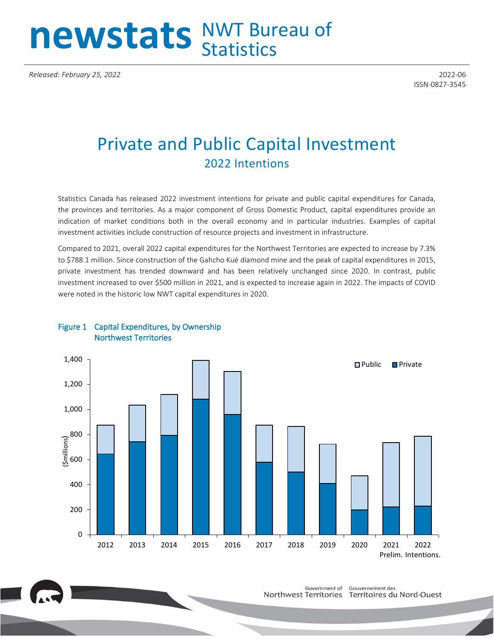# newstats NWT Bureau of

*Released: February 25, 2022* 2022-06

ISSN-0827-3545

## Private and Public Capital Investment 2022 Intentions

Statistics Canada has released 2022 investment intentions for private and public capital expenditures for Canada, the provinces and territories. As a major component of Gross Domestic Product, capital expenditures provide an indication of market conditions both in the overall economy and in particular industries. Examples of capital investment activities include construction of resource projects and investment in infrastructure.

Compared to 2021, overall 2022 capital expenditures for the Northwest Territories are expected to increase by 7.3% to \$788.1 million. Since construction of the Gahcho Kué diamond mine and the peak of capital expenditures in 2015, private investment has trended downward and has been relatively unchanged since 2020. In contrast, public investment increased to over \$500 million in 2021, and is expected to increase again in 2022. The impacts of COVID were noted in the historic low NWT capital expenditures in 2020.



### Figure 1 Capital Expenditures, by Ownership Northwest Territories



Gouvernement des Government of Northwest Territories Territoires du Nord-Ouest